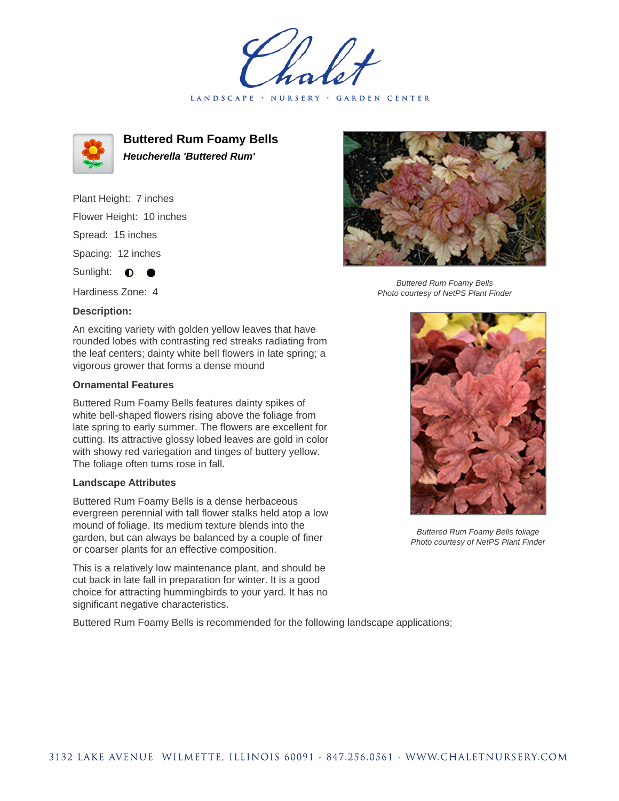LANDSCAPE · NURSERY · GARDEN CENTER



**Buttered Rum Foamy Bells Heucherella 'Buttered Rum'**

Plant Height: 7 inches Flower Height: 10 inches Spread: 15 inches Spacing: 12 inches Sunlight:  $\bullet$ 

Hardiness Zone: 4

## **Description:**

An exciting variety with golden yellow leaves that have rounded lobes with contrasting red streaks radiating from the leaf centers; dainty white bell flowers in late spring; a vigorous grower that forms a dense mound

## **Ornamental Features**

Buttered Rum Foamy Bells features dainty spikes of white bell-shaped flowers rising above the foliage from late spring to early summer. The flowers are excellent for cutting. Its attractive glossy lobed leaves are gold in color with showy red variegation and tinges of buttery yellow. The foliage often turns rose in fall.

## **Landscape Attributes**

Buttered Rum Foamy Bells is a dense herbaceous evergreen perennial with tall flower stalks held atop a low mound of foliage. Its medium texture blends into the garden, but can always be balanced by a couple of finer or coarser plants for an effective composition.

This is a relatively low maintenance plant, and should be cut back in late fall in preparation for winter. It is a good choice for attracting hummingbirds to your yard. It has no significant negative characteristics.

Buttered Rum Foamy Bells is recommended for the following landscape applications;



Buttered Rum Foamy Bells Photo courtesy of NetPS Plant Finder



Buttered Rum Foamy Bells foliage Photo courtesy of NetPS Plant Finder